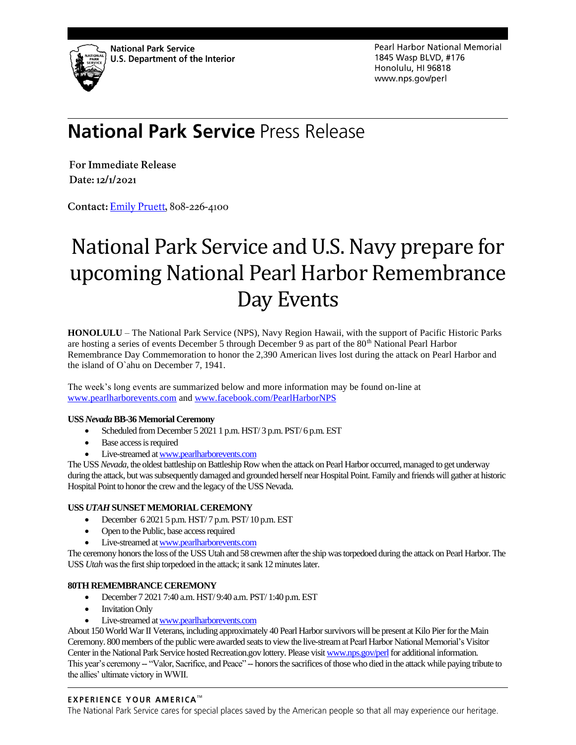

Pearl Harbor National Memorial 1845 Wasp BLVD, #176 Honolulu, HI 96818 www.nps.gov/perl

# **National Park Service Press Release**

**For Immediate Release** Date: 12/1/2021

Contact: Emily Pruett, 808-226-4100

# National Park Service and U.S. Navy prepare for upcoming National Pearl Harbor Remembrance Day Events

**HONOLULU** – The National Park Service (NPS), Navy Region Hawaii, with the support of Pacific Historic Parks are hosting a series of events December 5 through December 9 as part of the 80<sup>th</sup> National Pearl Harbor Remembrance Day Commemoration to honor the 2,390 American lives lost during the attack on Pearl Harbor and the island of O`ahu on December 7, 1941.

The week's long events are summarized below and more information may be found on-line at [www.pearlharborevents.com](http://www.pearlharborevents.com/) and [www.facebook.com/PearlHarborNPS](http://www.facebook.com/PearlHarborNPS)

#### **USS** *Nevada***BB-36 Memorial Ceremony**

- Scheduled from December 5 2021 1 p.m. HST/ 3 p.m. PST/ 6 p.m. EST
- Base access is required
- Live-streamed a[t www.pearlharborevents.com](http://www.pearlharborevents.com/)

The USS *Nevada*, the oldest battleship on Battleship Row when the attack on Pearl Harbor occurred, managed to get underway during the attack, but was subsequently damaged and grounded herself near Hospital Point. Family and friends will gather at historic Hospital Point to honor the crew and the legacy of the USS Nevada.

#### **USS** *UTAH* **SUNSET MEMORIAL CEREMONY**

- December 6 2021 5 p.m. HST/ 7 p.m. PST/ 10 p.m. EST
- Open to the Public, base access required
- Live-streamed a[t www.pearlharborevents.com](http://www.pearlharborevents.com/)

The ceremony honors the loss of the USS Utah and 58 crewmen after the ship was torpedoed during the attack on Pearl Harbor. The USS *Utah* was the first ship torpedoed in the attack; it sank 12 minutes later.

#### **80TH REMEMBRANCE CEREMONY**

- December 7 2021 7:40 a.m. HST/ 9:40 a.m. PST/ 1:40 p.m.EST
- **Invitation Only**
- Live-streamed a[t www.pearlharborevents.com](http://www.pearlharborevents.com/)

About 150 World War II Veterans, including approximately 40 Pearl Harbor survivors will be present at Kilo Pier for the Main Ceremony. 800 members of the public were awarded seats to view the live-stream at Pearl Harbor National Memorial's Visitor Center in the National Park Service hosted Recreation.gov lottery. Please visi[t www.nps.gov/perl](http://www.nps.gov/perl) for additional information. This year's ceremony -- "Valor, Sacrifice, and Peace" -- honors the sacrifices of those who died in the attack while paying tribute to the allies' ultimate victory in WWII.

#### **EXPERIENCE YOUR AMERICA™**

The National Park Service cares for special places saved by the American people so that all may experience our heritage.